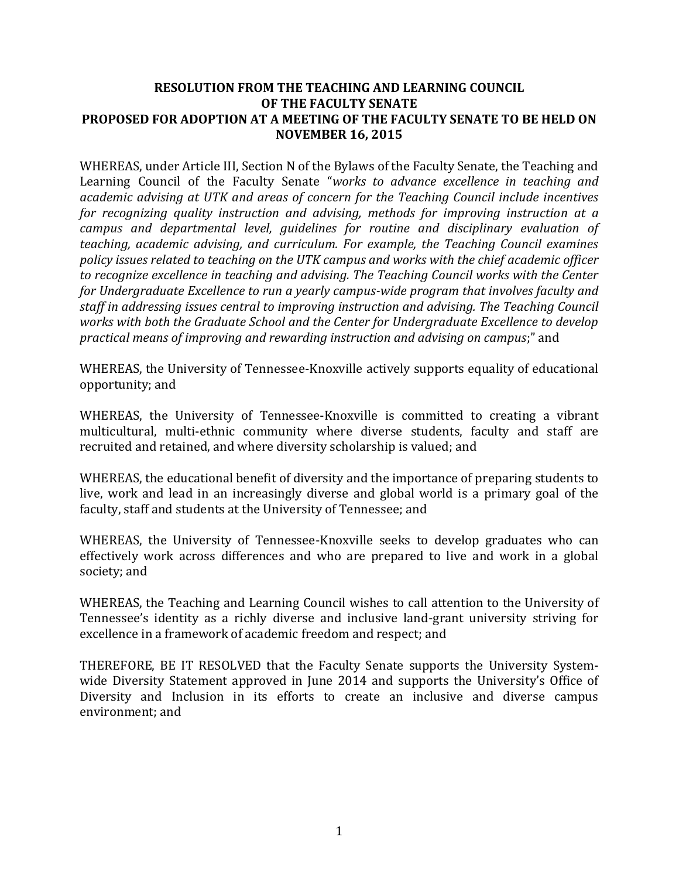## **RESOLUTION FROM THE TEACHING AND LEARNING COUNCIL OF THE FACULTY SENATE PROPOSED FOR ADOPTION AT A MEETING OF THE FACULTY SENATE TO BE HELD ON NOVEMBER 16, 2015**

WHEREAS, under Article III, Section N of the Bylaws of the Faculty Senate, the Teaching and Learning Council of the Faculty Senate "*works to advance excellence in teaching and academic advising at UTK and areas of concern for the Teaching Council include incentives for recognizing quality instruction and advising, methods for improving instruction at a campus and departmental level, guidelines for routine and disciplinary evaluation of teaching, academic advising, and curriculum. For example, the Teaching Council examines policy issues related to teaching on the UTK campus and works with the chief academic officer to recognize excellence in teaching and advising. The Teaching Council works with the Center for Undergraduate Excellence to run a yearly campus-wide program that involves faculty and staff in addressing issues central to improving instruction and advising. The Teaching Council works with both the Graduate School and the Center for Undergraduate Excellence to develop practical means of improving and rewarding instruction and advising on campus*;" and

WHEREAS, the University of Tennessee-Knoxville actively supports equality of educational opportunity; and

WHEREAS, the University of Tennessee-Knoxville is committed to creating a vibrant multicultural, multi-ethnic community where diverse students, faculty and staff are recruited and retained, and where diversity scholarship is valued; and

WHEREAS, the educational benefit of diversity and the importance of preparing students to live, work and lead in an increasingly diverse and global world is a primary goal of the faculty, staff and students at the University of Tennessee; and

WHEREAS, the University of Tennessee-Knoxville seeks to develop graduates who can effectively work across differences and who are prepared to live and work in a global society; and

WHEREAS, the Teaching and Learning Council wishes to call attention to the University of Tennessee's identity as a richly diverse and inclusive land-grant university striving for excellence in a framework of academic freedom and respect; and

THEREFORE, BE IT RESOLVED that the Faculty Senate supports the University Systemwide Diversity Statement approved in June 2014 and supports the University's Office of Diversity and Inclusion in its efforts to create an inclusive and diverse campus environment; and